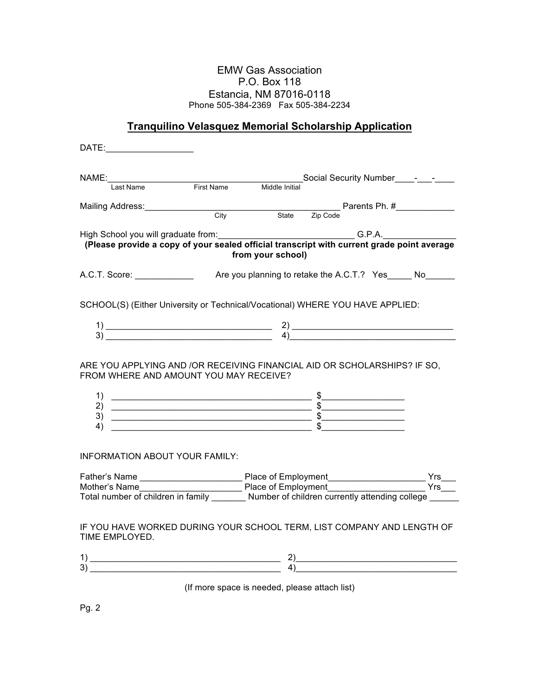## EMW Gas Association P.O. Box 118 Estancia, NM 87016-0118 Phone 505-384-2369 Fax 505-384-2234

## **Tranquilino Velasquez Memorial Scholarship Application**

| DATE:                                                                                                                                                                                                                                                                                                                                                                                                                                                        |  |                                               |                 |  |                       |
|--------------------------------------------------------------------------------------------------------------------------------------------------------------------------------------------------------------------------------------------------------------------------------------------------------------------------------------------------------------------------------------------------------------------------------------------------------------|--|-----------------------------------------------|-----------------|--|-----------------------|
|                                                                                                                                                                                                                                                                                                                                                                                                                                                              |  |                                               |                 |  |                       |
|                                                                                                                                                                                                                                                                                                                                                                                                                                                              |  |                                               |                 |  |                       |
| Mailing Address: City City State Zip Code Parents Ph. #__________________________<br>City State Zip Code                                                                                                                                                                                                                                                                                                                                                     |  |                                               |                 |  |                       |
|                                                                                                                                                                                                                                                                                                                                                                                                                                                              |  |                                               |                 |  |                       |
|                                                                                                                                                                                                                                                                                                                                                                                                                                                              |  |                                               |                 |  |                       |
| High School you will graduate from:<br>(Please provide a copy of your sealed official transcript with current grade point average<br>from your school)                                                                                                                                                                                                                                                                                                       |  |                                               |                 |  |                       |
| A.C.T. Score: _____________                                                                                                                                                                                                                                                                                                                                                                                                                                  |  | Are you planning to retake the A.C.T.? Yes No |                 |  |                       |
| SCHOOL(S) (Either University or Technical/Vocational) WHERE YOU HAVE APPLIED:                                                                                                                                                                                                                                                                                                                                                                                |  |                                               |                 |  |                       |
| $\begin{array}{c} 1) \ \hline 3) \end{array}$ $\begin{array}{c} 2) \ \hline 4) \end{array}$                                                                                                                                                                                                                                                                                                                                                                  |  |                                               |                 |  |                       |
|                                                                                                                                                                                                                                                                                                                                                                                                                                                              |  |                                               |                 |  |                       |
| ARE YOU APPLYING AND /OR RECEIVING FINANCIAL AID OR SCHOLARSHIPS? IF SO,<br>FROM WHERE AND AMOUNT YOU MAY RECEIVE?                                                                                                                                                                                                                                                                                                                                           |  |                                               |                 |  |                       |
|                                                                                                                                                                                                                                                                                                                                                                                                                                                              |  |                                               |                 |  |                       |
| $\begin{array}{c}\n\text{1} \\ \text{2)} \\ \hline\n\text{3} \\ \text{4} \\ \end{array}\n\qquad\n\begin{array}{c}\n\text{5} \\ \text{5} \\ \text{6} \\ \text{7} \\ \text{8} \\ \end{array}\n\qquad\n\begin{array}{c}\n\text{6} \\ \text{7} \\ \text{8} \\ \text{9} \\ \text{10} \\ \text{11} \\ \text{12} \\ \text{13} \\ \text{14} \\ \text{15} \\ \end{array}\n\qquad\n\begin{array}{c}\n\text{7} \\ \text{16} \\ \text{17} \\ \text{18} \\ \text{19} \\ $ |  |                                               |                 |  |                       |
|                                                                                                                                                                                                                                                                                                                                                                                                                                                              |  |                                               |                 |  |                       |
|                                                                                                                                                                                                                                                                                                                                                                                                                                                              |  |                                               |                 |  |                       |
| INFORMATION ABOUT YOUR FAMILY:                                                                                                                                                                                                                                                                                                                                                                                                                               |  |                                               |                 |  |                       |
|                                                                                                                                                                                                                                                                                                                                                                                                                                                              |  |                                               |                 |  | $Yrs$ <sub>____</sub> |
| Father's Name Mother's Name Mother's Name Mother's Name Mother's Name Mother's Name Mother's Name Mother's Name Mother's Name Mother's Name Mother's Name Mother's Name Mother's Name Mother's Name Mother's Name Mother's Nam                                                                                                                                                                                                                               |  |                                               |                 |  | $Yrs$ <sub>___</sub>  |
|                                                                                                                                                                                                                                                                                                                                                                                                                                                              |  |                                               |                 |  |                       |
| IF YOU HAVE WORKED DURING YOUR SCHOOL TERM, LIST COMPANY AND LENGTH OF<br>TIME EMPLOYED.                                                                                                                                                                                                                                                                                                                                                                     |  |                                               |                 |  |                       |
|                                                                                                                                                                                                                                                                                                                                                                                                                                                              |  |                                               |                 |  |                       |
| $\begin{array}{c} 1) \end{array}$                                                                                                                                                                                                                                                                                                                                                                                                                            |  |                                               | $\overline{4)}$ |  |                       |

(If more space is needed, please attach list)

Pg. 2